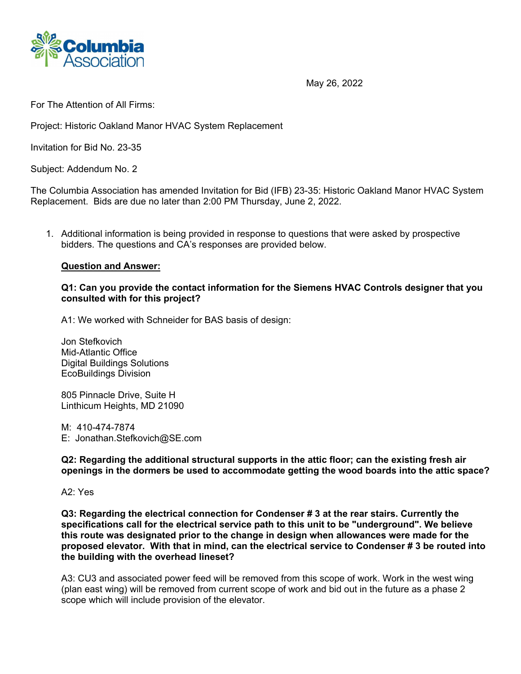

May 26, 2022

For The Attention of All Firms:

Project: Historic Oakland Manor HVAC System Replacement

Invitation for Bid No. 23-35

Subject: Addendum No. 2

The Columbia Association has amended Invitation for Bid (IFB) 23-35: Historic Oakland Manor HVAC System Replacement. Bids are due no later than 2:00 PM Thursday, June 2, 2022.

1. Additional information is being provided in response to questions that were asked by prospective bidders. The questions and CA's responses are provided below.

## **Question and Answer:**

## **Q1: Can you provide the contact information for the Siemens HVAC Controls designer that you consulted with for this project?**

A1: We worked with Schneider for BAS basis of design:

Jon Stefkovich Mid-Atlantic Office Digital Buildings Solutions EcoBuildings Division

805 Pinnacle Drive, Suite H Linthicum Heights, MD 21090

M: 410-474-7874 E: Jonathan.Stefkovich@SE.com

**Q2: Regarding the additional structural supports in the attic floor; can the existing fresh air openings in the dormers be used to accommodate getting the wood boards into the attic space?**

A2: Yes

**Q3: Regarding the electrical connection for Condenser # 3 at the rear stairs. Currently the specifications call for the electrical service path to this unit to be "underground". We believe this route was designated prior to the change in design when allowances were made for the proposed elevator. With that in mind, can the electrical service to Condenser # 3 be routed into the building with the overhead lineset?**

A3: CU3 and associated power feed will be removed from this scope of work. Work in the west wing (plan east wing) will be removed from current scope of work and bid out in the future as a phase 2 scope which will include provision of the elevator.